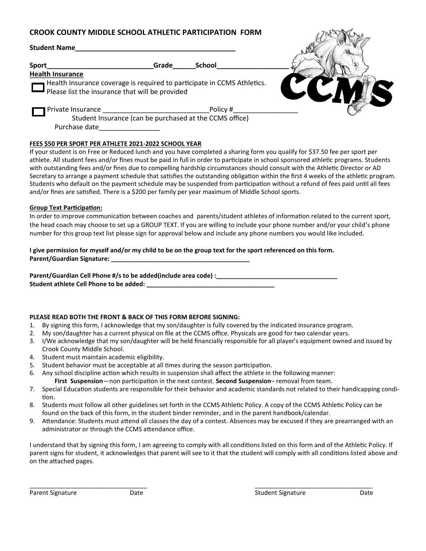# **CROOK COUNTY MIDDLE SCHOOL ATHLETIC PARTICIPATION FORM**

| <b>Student Name</b>                                   |                                                         |                                                                         |                                                                                                                                                                                                                                                |
|-------------------------------------------------------|---------------------------------------------------------|-------------------------------------------------------------------------|------------------------------------------------------------------------------------------------------------------------------------------------------------------------------------------------------------------------------------------------|
| <b>Sport</b>                                          | Grade                                                   | School                                                                  |                                                                                                                                                                                                                                                |
| <b>Health Insurance</b>                               |                                                         |                                                                         |                                                                                                                                                                                                                                                |
|                                                       |                                                         | Health Insurance coverage is required to participate in CCMS Athletics. |                                                                                                                                                                                                                                                |
| Please list the insurance that will be provided       |                                                         |                                                                         |                                                                                                                                                                                                                                                |
|                                                       |                                                         | Policy #                                                                |                                                                                                                                                                                                                                                |
|                                                       | Student Insurance (can be purchased at the CCMS office) |                                                                         |                                                                                                                                                                                                                                                |
| Purchase date                                         |                                                         |                                                                         |                                                                                                                                                                                                                                                |
|                                                       |                                                         |                                                                         |                                                                                                                                                                                                                                                |
| FEES \$50 PER SPORT PER ATHLETE 2021-2022 SCHOOL YEAR |                                                         |                                                                         |                                                                                                                                                                                                                                                |
|                                                       |                                                         |                                                                         | If your student is on Free or Reduced lunch and you have completed a sharing form you qualify for \$37.50 fee per sport per<br>the contract of the contract of the contract of the contract of the contract of the contract of the contract of |

athlete. All student fees and/or fines must be paid in full in order to participate in school sponsored athletic programs. Students with outstanding fees and/or fines due to compelling hardship circumstances should consult with the Athletic Director or AD Secretary to arrange a payment schedule that satisfies the outstanding obligation within the first 4 weeks of the athletic program. Students who default on the payment schedule may be suspended from participation without a refund of fees paid until all fees and/or fines are satisfied. There is a \$200 per family per year maximum of Middle School sports.

## **Group Text Participation:**

In order to improve communication between coaches and parents/student athletes of information related to the current sport, the head coach may choose to set up a GROUP TEXT. If you are willing to include your phone number and/or your child's phone number for this group text list please sign for approval below and include any phone numbers you would like included.

### **I give permission for myself and/or my child to be on the group text for the sport referenced on this form. Parent/Guardian Signature: \_\_\_\_\_\_\_\_\_\_\_\_\_\_\_\_\_\_\_\_\_\_\_\_\_\_\_\_\_\_\_\_\_\_\_\_\_\_\_\_**

Parent/Guardian Cell Phone #/s to be added(include area code) :\_\_\_\_\_\_\_\_\_\_\_\_\_\_\_\_\_\_ Student athlete Cell Phone to be added:

# **PLEASE READ BOTH THE FRONT & BACK OF THIS FORM BEFORE SIGNING:**

- 1. By signing this form, I acknowledge that my son/daughter is fully covered by the indicated insurance program.
- 2. My son/daughter has a current physical on file at the CCMS office. Physicals are good for two calendar years.
- 3. I/We acknowledge that my son/daughter will be held financially responsible for all player's equipment owned and issued by Crook County Middle School.
- 4. Student must maintain academic eligibility.
- 5. Student behavior must be acceptable at all times during the season participation.
- 6. Any school discipline action which results in suspension shall affect the athlete in the following manner:
	- **First Suspension**—non participation in the next contest. **Second Suspension** removal from team.
- 7. Special Education students are responsible for their behavior and academic standards not related to their handicapping condition.
- 8. Students must follow all other guidelines set forth in the CCMS Athletic Policy. A copy of the CCMS Athletic Policy can be found on the back of this form, in the student binder reminder, and in the parent handbook/calendar.
- 9. Attendance: Students must attend all classes the day of a contest. Absences may be excused if they are prearranged with an administrator or through the CCMS attendance office.

I understand that by signing this form, I am agreeing to comply with all conditions listed on this form and of the Athletic Policy. If parent signs for student, it acknowledges that parent will see to it that the student will comply with all conditions listed above and on the attached pages.

\_\_\_\_\_\_\_\_\_\_\_\_\_\_\_\_\_\_\_\_\_\_\_\_\_\_\_\_\_\_\_\_\_\_ \_\_\_\_\_\_\_\_\_\_\_\_\_\_\_\_\_\_\_\_\_\_\_\_\_\_\_\_\_\_\_\_\_\_

Detal.